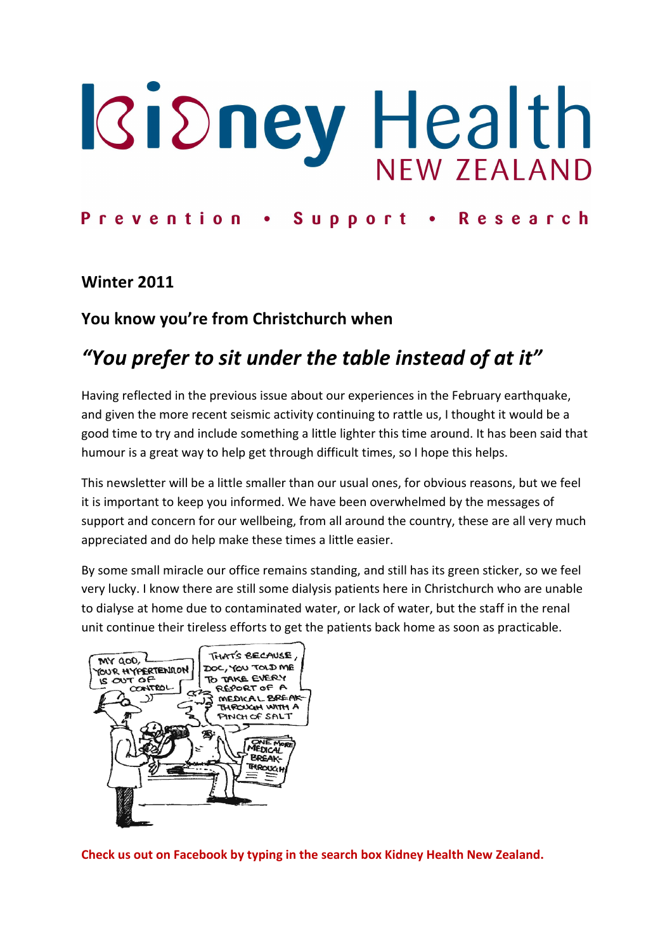# **IGidney Health**

## Prevention . Support . Research

### Winter 2011

## You know you're from Christchurch when

# "You prefer to sit under the table instead of at it"

Having reflected in the previous issue about our experiences in the February earthquake, and given the more recent seismic activity continuing to rattle us, I thought it would be a good time to try and include something a little lighter this time around. It has been said that humour is a great way to help get through difficult times, so I hope this helps.

This newsletter will be a little smaller than our usual ones, for obvious reasons, but we feel it is important to keep you informed. We have been overwhelmed by the messages of support and concern for our wellbeing, from all around the country, these are all very much appreciated and do help make these times a little easier.

By some small miracle our office remains standing, and still has its green sticker, so we feel very lucky. I know there are still some dialysis patients here in Christchurch who are unable to dialyse at home due to contaminated water, or lack of water, but the staff in the renal unit continue their tireless efforts to get the patients back home as soon as practicable.



Check us out on Facebook by typing in the search box Kidney Health New Zealand.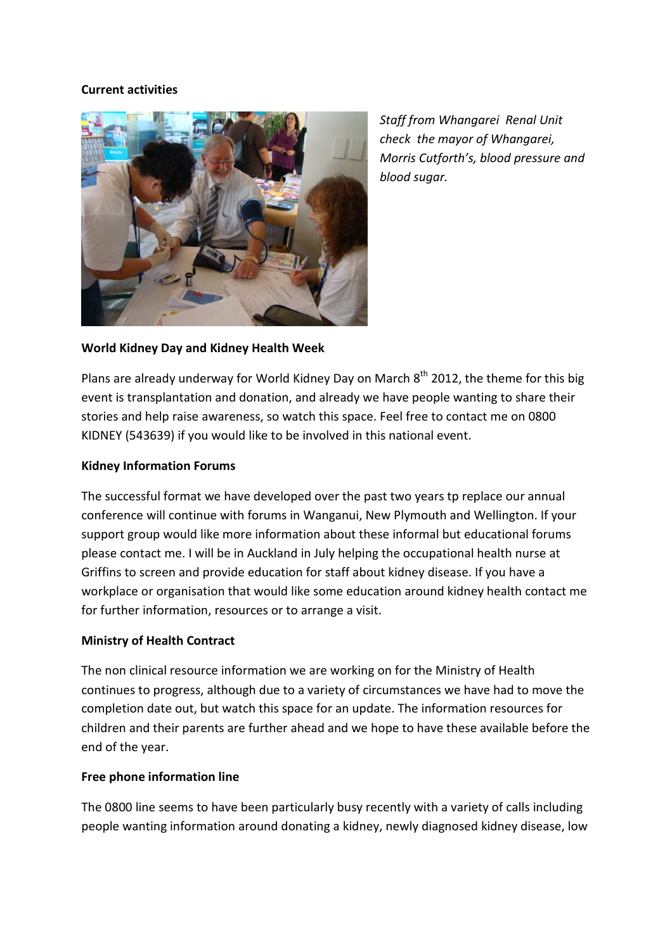#### Current activities



Staff from Whangarei Renal Unit check the mayor of Whangarei, Morris Cutforth's, blood pressure and blood sugar.

#### World Kidney Day and Kidney Health Week

Plans are already underway for World Kidney Day on March  $8<sup>th</sup>$  2012, the theme for this big event is transplantation and donation, and already we have people wanting to share their stories and help raise awareness, so watch this space. Feel free to contact me on 0800 KIDNEY (543639) if you would like to be involved in this national event.

#### Kidney Information Forums

The successful format we have developed over the past two years tp replace our annual conference will continue with forums in Wanganui, New Plymouth and Wellington. If your support group would like more information about these informal but educational forums please contact me. I will be in Auckland in July helping the occupational health nurse at Griffins to screen and provide education for staff about kidney disease. If you have a workplace or organisation that would like some education around kidney health contact me for further information, resources or to arrange a visit.

#### Ministry of Health Contract

The non clinical resource information we are working on for the Ministry of Health continues to progress, although due to a variety of circumstances we have had to move the completion date out, but watch this space for an update. The information resources for children and their parents are further ahead and we hope to have these available before the end of the year.

#### Free phone information line

The 0800 line seems to have been particularly busy recently with a variety of calls including people wanting information around donating a kidney, newly diagnosed kidney disease, low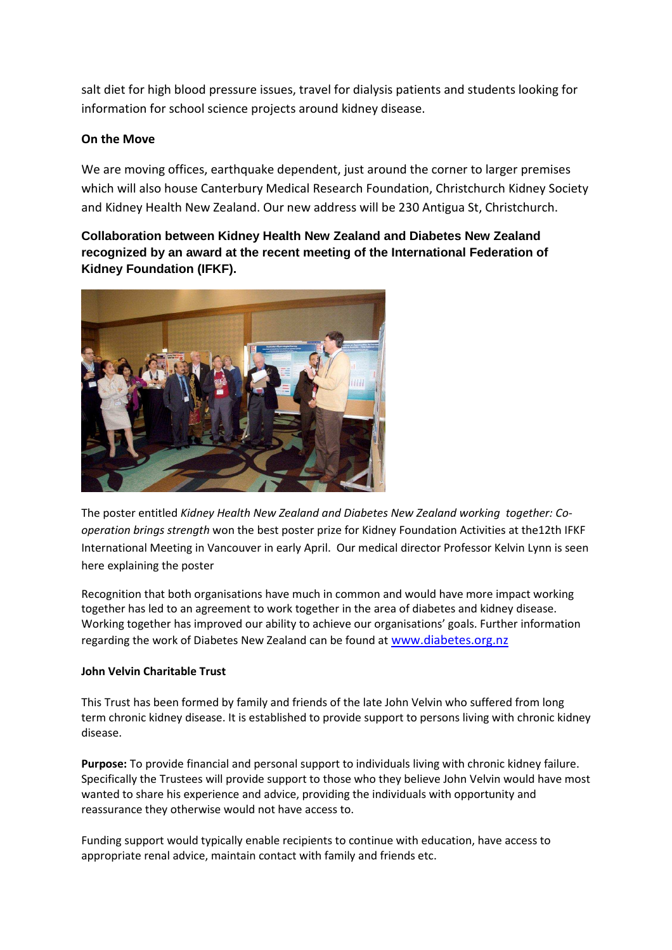salt diet for high blood pressure issues, travel for dialysis patients and students looking for information for school science projects around kidney disease.

#### On the Move

We are moving offices, earthquake dependent, just around the corner to larger premises which will also house Canterbury Medical Research Foundation, Christchurch Kidney Society and Kidney Health New Zealand. Our new address will be 230 Antigua St, Christchurch.

**Collaboration between Kidney Health New Zealand and Diabetes New Zealand recognized by an award at the recent meeting of the International Federation of Kidney Foundation (IFKF).** 



The poster entitled Kidney Health New Zealand and Diabetes New Zealand working together: Cooperation brings strength won the best poster prize for Kidney Foundation Activities at the12th IFKF International Meeting in Vancouver in early April. Our medical director Professor Kelvin Lynn is seen here explaining the poster

Recognition that both organisations have much in common and would have more impact working together has led to an agreement to work together in the area of diabetes and kidney disease. Working together has improved our ability to achieve our organisations' goals. Further information regarding the work of Diabetes New Zealand can be found at www.diabetes.org.nz

#### John Velvin Charitable Trust

This Trust has been formed by family and friends of the late John Velvin who suffered from long term chronic kidney disease. It is established to provide support to persons living with chronic kidney disease.

Purpose: To provide financial and personal support to individuals living with chronic kidney failure. Specifically the Trustees will provide support to those who they believe John Velvin would have most wanted to share his experience and advice, providing the individuals with opportunity and reassurance they otherwise would not have access to.

Funding support would typically enable recipients to continue with education, have access to appropriate renal advice, maintain contact with family and friends etc.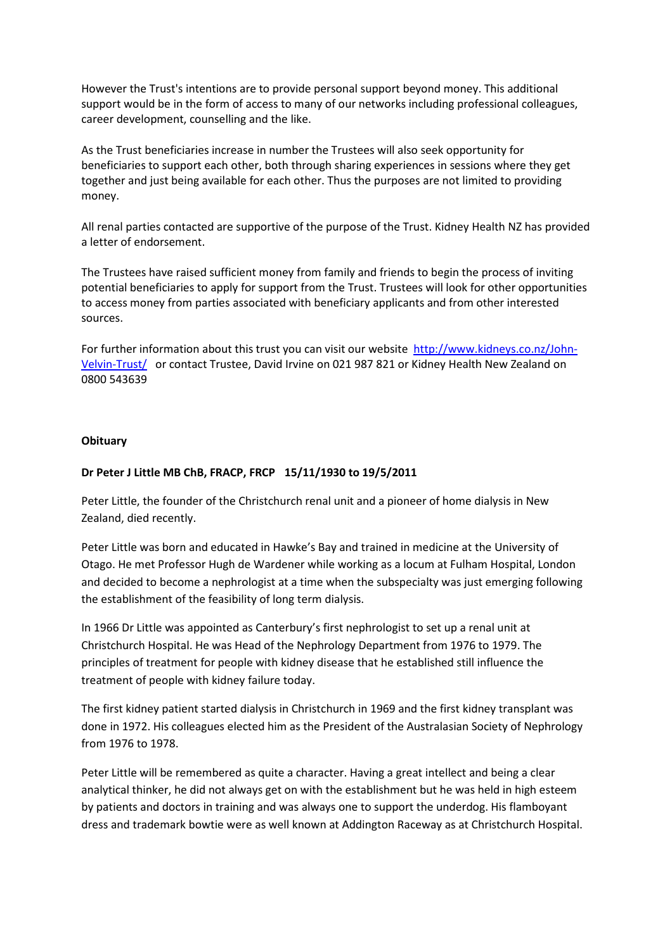However the Trust's intentions are to provide personal support beyond money. This additional support would be in the form of access to many of our networks including professional colleagues, career development, counselling and the like.

As the Trust beneficiaries increase in number the Trustees will also seek opportunity for beneficiaries to support each other, both through sharing experiences in sessions where they get together and just being available for each other. Thus the purposes are not limited to providing money.

All renal parties contacted are supportive of the purpose of the Trust. Kidney Health NZ has provided a letter of endorsement.

The Trustees have raised sufficient money from family and friends to begin the process of inviting potential beneficiaries to apply for support from the Trust. Trustees will look for other opportunities to access money from parties associated with beneficiary applicants and from other interested sources.

For further information about this trust you can visit our website http://www.kidneys.co.nz/John-Velvin-Trust/ or contact Trustee, David Irvine on 021 987 821 or Kidney Health New Zealand on 0800 543639

#### **Obituary**

#### Dr Peter J Little MB ChB, FRACP, FRCP 15/11/1930 to 19/5/2011

Peter Little, the founder of the Christchurch renal unit and a pioneer of home dialysis in New Zealand, died recently.

Peter Little was born and educated in Hawke's Bay and trained in medicine at the University of Otago. He met Professor Hugh de Wardener while working as a locum at Fulham Hospital, London and decided to become a nephrologist at a time when the subspecialty was just emerging following the establishment of the feasibility of long term dialysis.

In 1966 Dr Little was appointed as Canterbury's first nephrologist to set up a renal unit at Christchurch Hospital. He was Head of the Nephrology Department from 1976 to 1979. The principles of treatment for people with kidney disease that he established still influence the treatment of people with kidney failure today.

The first kidney patient started dialysis in Christchurch in 1969 and the first kidney transplant was done in 1972. His colleagues elected him as the President of the Australasian Society of Nephrology from 1976 to 1978.

Peter Little will be remembered as quite a character. Having a great intellect and being a clear analytical thinker, he did not always get on with the establishment but he was held in high esteem by patients and doctors in training and was always one to support the underdog. His flamboyant dress and trademark bowtie were as well known at Addington Raceway as at Christchurch Hospital.